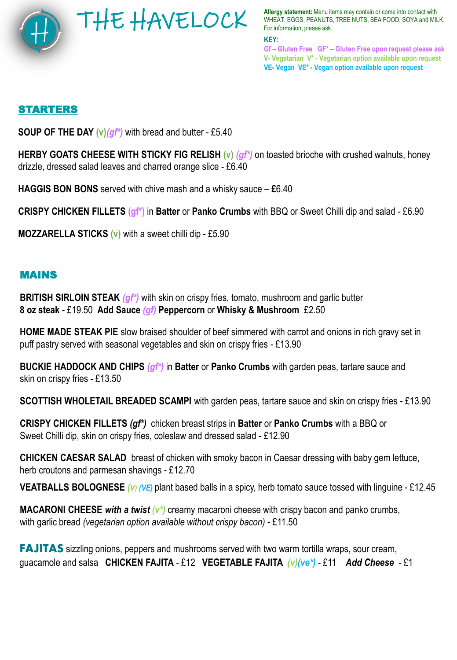

**THE HAVELOCK** Allergy statement: Menu items may contain or come into contact with WHEAT, EGGS, PEANUTS, TREE NUTS, SEA FOOD, SOYA and MILK. For information, please ask.

### **KEY:**

**Gf – Gluten Free GF\* – Gluten Free upon request please ask V- Vegetarian V\* - Vegetarian option available upon request VE- Vegan VE\* - Vegan option available upon request**

## STARTERS

**SOUP OF THE DAY (v)***(gf\*)* with bread and butter - £5.40

**HERBY GOATS CHEESE WITH STICKY FIG RELISH (v)** *(gf\*)* on toasted brioche with crushed walnuts, honey drizzle, dressed salad leaves and charred orange slice - £6.40

**HAGGIS BON BONS** served with chive mash and a whisky sauce – **£**6.40

**CRISPY CHICKEN FILLETS (gf\*)** in **Batter** or **Panko Crumbs** with BBQ or Sweet Chilli dip and salad - £6.90

**MOZZARELLA STICKS (v)** with a sweet chilli dip - £5.90

## MAINS

**BRITISH SIRLOIN STEAK** *(gf\*)* with skin on crispy fries, tomato, mushroom and garlic butter **8 oz steak** - £19.50 **Add Sauce** *(gf)* **Peppercorn** or **Whisky & Mushroom** £2.50

**HOME MADE STEAK PIE** slow braised shoulder of beef simmered with carrot and onions in rich gravy set in puff pastry served with seasonal vegetables and skin on crispy fries - £13.90

**BUCKIE HADDOCK AND CHIPS** *(gf\*)* in **Batter** or **Panko Crumbs** with garden peas, tartare sauce and skin on crispy fries - £13.50

**SCOTTISH WHOLETAIL BREADED SCAMPI** with garden peas, tartare sauce and skin on crispy fries - £13.90

**CRISPY CHICKEN FILLETS** *(gf\*)* chicken breast strips in **Batter** or **Panko Crumbs** with a BBQ or Sweet Chilli dip, skin on crispy fries, coleslaw and dressed salad - £12.90

**CHICKEN CAESAR SALAD** breast of chicken with smoky bacon in Caesar dressing with baby gem lettuce, herb croutons and parmesan shavings - £12.70

**VEATBALLS BOLOGNESE** *(v) (VE)* plant based balls in a spicy, herb tomato sauce tossed with linguine - £12.45

**MACARONI CHEESE** *with a twist (v\*)* creamy macaroni cheese with crispy bacon and panko crumbs, with garlic bread *(vegetarian option available without crispy bacon)* - £11.50

**FAJITAS** sizzling onions, peppers and mushrooms served with two warm tortilla wraps, sour cream, guacamole and salsa **CHICKEN FAJITA** - £12 **VEGETABLE FAJITA** *(v)(ve\*) -* £11 *Add Cheese -* £1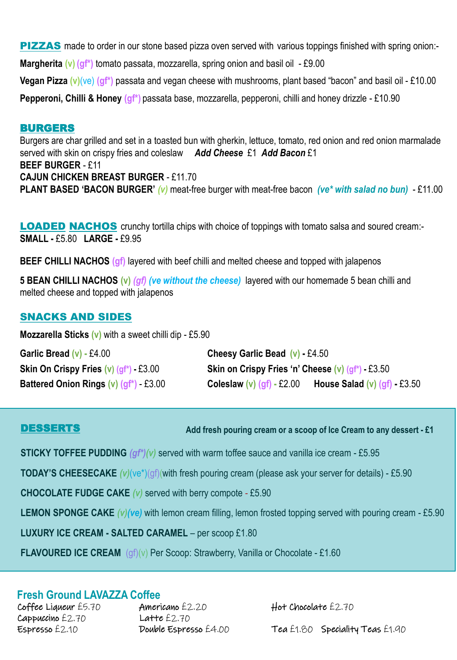PIZZAS made to order in our stone based pizza oven served with various toppings finished with spring onion:- **Margherita (v) (gf\*)** tomato passata, mozzarella, spring onion and basil oil - £9.00 **Vegan Pizza (v)**(ve) **(gf\*)** passata and vegan cheese with mushrooms, plant based "bacon" and basil oil - £10.00 **Pepperoni, Chilli & Honey (gf\*)** passata base, mozzarella, pepperoni, chilli and honey drizzle - £10.90

## BURGERS

Burgers are char grilled and set in a toasted bun with gherkin, lettuce, tomato, red onion and red onion marmalade served with skin on crispy fries and coleslaw *Add Cheese* £1 *Add Bacon* £1 **BEEF BURGER** - £11 **CAJUN CHICKEN BREAST BURGER** - £11.70 **PLANT BASED 'BACON BURGER'** *(v)* meat-free burger with meat-free bacon *(ve\* with salad no bun)* - £11.00

LOADED NACHOS crunchy tortilla chips with choice of toppings with tomato salsa and soured cream:- **SMALL -** £5.80 **LARGE -** £9.95

**BEEF CHILLI NACHOS (gf)** layered with beef chilli and melted cheese and topped with jalapenos

**5 BEAN CHILLI NACHOS (v)** *(gf) (ve without the cheese)* layered with our homemade 5 bean chilli and melted cheese and topped with jalapenos

## SNACKS AND SIDES

**Mozzarella Sticks (v)** with a sweet chilli dip - £5.90

| Garlic Bread $(v)$ - £4.00                                  | Cheesy Garlic Bead $(v)$ - £4.50                         |                                                            |
|-------------------------------------------------------------|----------------------------------------------------------|------------------------------------------------------------|
| <b>Skin On Crispy Fries (v) <math>(gf^*)</math> - £3.00</b> | <b>Skin on Crispy Fries 'n' Cheese (v) (gf*) - £3.50</b> |                                                            |
| <b>Battered Onion Rings (v) <math>(gf^*)</math> - £3.00</b> |                                                          | Coleslaw (v) $(gf)$ - £2.00 House Salad (v) $(gf)$ - £3.50 |

**DESSERTS** Add fresh pouring cream or a scoop of Ice Cream to any dessert - £1

**STICKY TOFFEE PUDDING** *(gf\*)(v)* served with warm toffee sauce and vanilla ice cream - £5.95

**TODAY'S CHEESECAKE**  $(v)(ve^*)(gf)(with fresh pointing cream (please ask your server for details) - £5.90$ 

**CHOCOLATE FUDGE CAKE** *(v)* served with berry compote - £5.90

**LEMON SPONGE CAKE** *(v)(ve)* with lemon cream filling, lemon frosted topping served with pouring cream - £5.90

**LUXURY ICE CREAM - SALTED CARAMEL** – per scoop £1.80

**FLAVOURED ICE CREAM** (qf)(v) Per Scoop: Strawberry, Vanilla or Chocolate - £1.60

## **Fresh Ground LAVAZZA Coffee**

Cappuccino £2.70 Latte £2.70

Coffee Liqueur £5.70 Americano £2.20 Hot Chocolate £2.70

Espresso £2.10 Double Espresso £4.00 Tea £1.80 Speciality Teas £1.90